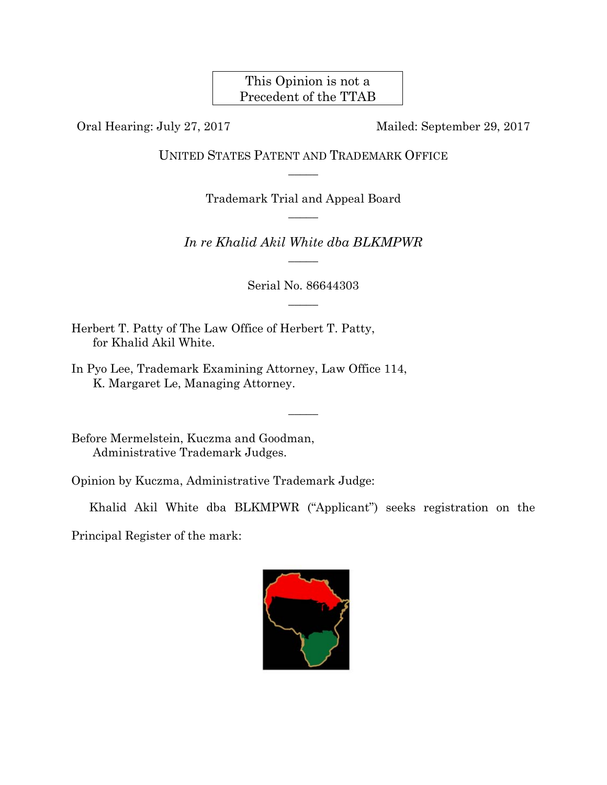This Opinion is not a Precedent of the TTAB

Oral Hearing: July 27, 2017 Mailed: September 29, 2017

UNITED STATES PATENT AND TRADEMARK OFFICE  $\overline{\phantom{a}}$ 

> Trademark Trial and Appeal Board  $\overline{\phantom{a}}$

*In re Khalid Akil White dba BLKMPWR*   $\overline{\phantom{a}}$ 

> Serial No. 86644303  $\overline{\phantom{a}}$

> > $\overline{\phantom{a}}$

Herbert T. Patty of The Law Office of Herbert T. Patty, for Khalid Akil White.

In Pyo Lee, Trademark Examining Attorney, Law Office 114, K. Margaret Le, Managing Attorney.

Before Mermelstein, Kuczma and Goodman, Administrative Trademark Judges.

Opinion by Kuczma, Administrative Trademark Judge:

Khalid Akil White dba BLKMPWR ("Applicant") seeks registration on the

Principal Register of the mark:

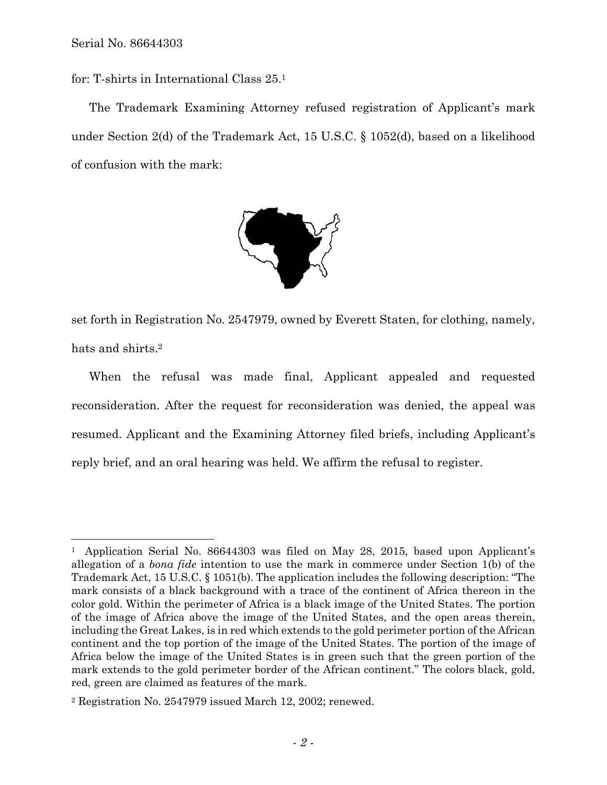$\overline{a}$ 

for: T-shirts in International Class 25.1

The Trademark Examining Attorney refused registration of Applicant's mark under Section 2(d) of the Trademark Act, 15 U.S.C. § 1052(d), based on a likelihood of confusion with the mark:



set forth in Registration No. 2547979, owned by Everett Staten, for clothing, namely, hats and shirts.2

When the refusal was made final, Applicant appealed and requested reconsideration. After the request for reconsideration was denied, the appeal was resumed. Applicant and the Examining Attorney filed briefs, including Applicant's reply brief, and an oral hearing was held. We affirm the refusal to register.

<sup>1</sup> Application Serial No. 86644303 was filed on May 28, 2015, based upon Applicant's allegation of a *bona fide* intention to use the mark in commerce under Section 1(b) of the Trademark Act, 15 U.S.C. § 1051(b). The application includes the following description: "The mark consists of a black background with a trace of the continent of Africa thereon in the color gold. Within the perimeter of Africa is a black image of the United States. The portion of the image of Africa above the image of the United States, and the open areas therein, including the Great Lakes, is in red which extends to the gold perimeter portion of the African continent and the top portion of the image of the United States. The portion of the image of Africa below the image of the United States is in green such that the green portion of the mark extends to the gold perimeter border of the African continent." The colors black, gold, red, green are claimed as features of the mark.

<sup>2</sup> Registration No. 2547979 issued March 12, 2002; renewed.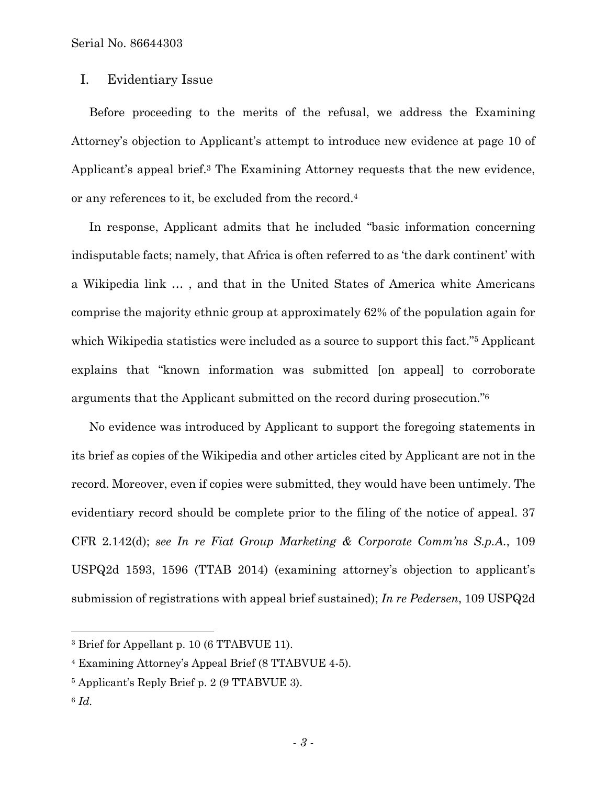## I. Evidentiary Issue

Before proceeding to the merits of the refusal, we address the Examining Attorney's objection to Applicant's attempt to introduce new evidence at page 10 of Applicant's appeal brief.3 The Examining Attorney requests that the new evidence, or any references to it, be excluded from the record.4

In response, Applicant admits that he included "basic information concerning indisputable facts; namely, that Africa is often referred to as 'the dark continent' with a Wikipedia link … , and that in the United States of America white Americans comprise the majority ethnic group at approximately 62% of the population again for which Wikipedia statistics were included as a source to support this fact."<sup>5</sup> Applicant explains that "known information was submitted [on appeal] to corroborate arguments that the Applicant submitted on the record during prosecution."6

No evidence was introduced by Applicant to support the foregoing statements in its brief as copies of the Wikipedia and other articles cited by Applicant are not in the record. Moreover, even if copies were submitted, they would have been untimely. The evidentiary record should be complete prior to the filing of the notice of appeal. 37 CFR 2.142(d); *see In re Fiat Group Marketing & Corporate Comm'ns S.p.A.*, 109 USPQ2d 1593, 1596 (TTAB 2014) (examining attorney's objection to applicant's submission of registrations with appeal brief sustained); *In re Pedersen*, 109 USPQ2d

<sup>6</sup> *Id.*

1

<sup>&</sup>lt;sup>3</sup> Brief for Appellant p. 10 (6 TTABVUE 11).

<sup>4</sup> Examining Attorney's Appeal Brief (8 TTABVUE 4-5).

<sup>5</sup> Applicant's Reply Brief p. 2 (9 TTABVUE 3).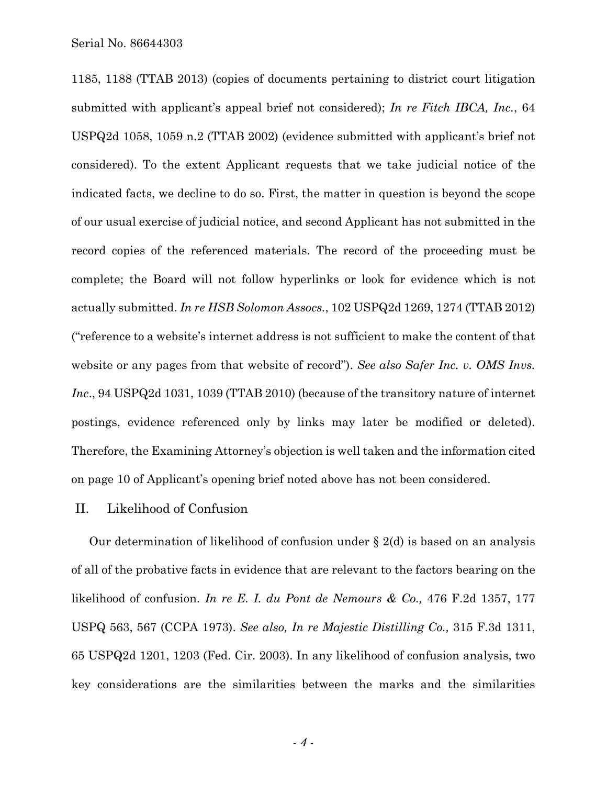1185, 1188 (TTAB 2013) (copies of documents pertaining to district court litigation submitted with applicant's appeal brief not considered); *In re Fitch IBCA, Inc.*, 64 USPQ2d 1058, 1059 n.2 (TTAB 2002) (evidence submitted with applicant's brief not considered). To the extent Applicant requests that we take judicial notice of the indicated facts, we decline to do so. First, the matter in question is beyond the scope of our usual exercise of judicial notice, and second Applicant has not submitted in the record copies of the referenced materials. The record of the proceeding must be complete; the Board will not follow hyperlinks or look for evidence which is not actually submitted. *In re HSB Solomon Assocs.*, 102 USPQ2d 1269, 1274 (TTAB 2012) ("reference to a website's internet address is not sufficient to make the content of that website or any pages from that website of record"). *See also Safer Inc. v. OMS Invs. Inc*., 94 USPQ2d 1031, 1039 (TTAB 2010) (because of the transitory nature of internet postings, evidence referenced only by links may later be modified or deleted). Therefore, the Examining Attorney's objection is well taken and the information cited on page 10 of Applicant's opening brief noted above has not been considered.

## II. Likelihood of Confusion

Our determination of likelihood of confusion under § 2(d) is based on an analysis of all of the probative facts in evidence that are relevant to the factors bearing on the likelihood of confusion. *In re E. I. du Pont de Nemours & Co.,* 476 F.2d 1357, 177 USPQ 563, 567 (CCPA 1973). *See also, In re Majestic Distilling Co.,* 315 F.3d 1311, 65 USPQ2d 1201, 1203 (Fed. Cir. 2003). In any likelihood of confusion analysis, two key considerations are the similarities between the marks and the similarities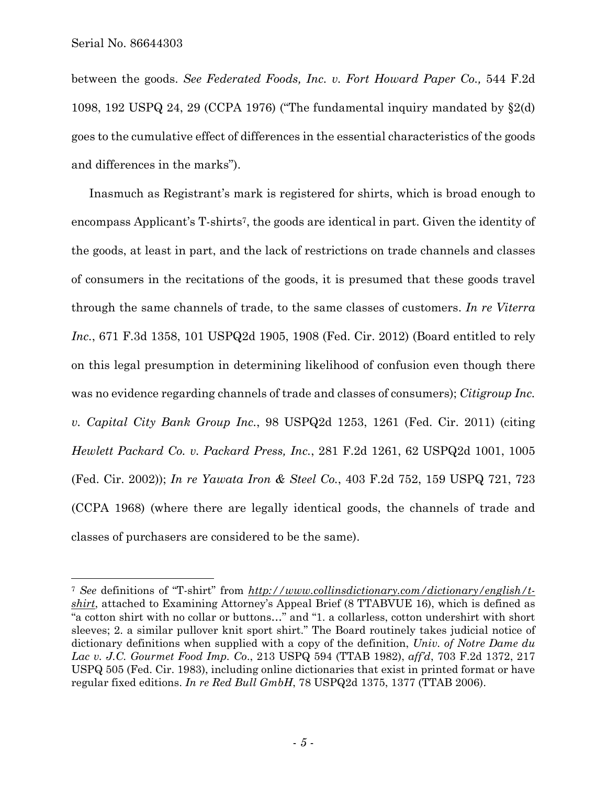$\overline{a}$ 

between the goods. *See Federated Foods, Inc. v. Fort Howard Paper Co.,* 544 F.2d 1098, 192 USPQ 24, 29 (CCPA 1976) ("The fundamental inquiry mandated by §2(d) goes to the cumulative effect of differences in the essential characteristics of the goods and differences in the marks").

Inasmuch as Registrant's mark is registered for shirts, which is broad enough to encompass Applicant's T-shirts7, the goods are identical in part. Given the identity of the goods, at least in part, and the lack of restrictions on trade channels and classes of consumers in the recitations of the goods, it is presumed that these goods travel through the same channels of trade, to the same classes of customers. *In re Viterra Inc.*, 671 F.3d 1358, 101 USPQ2d 1905, 1908 (Fed. Cir. 2012) (Board entitled to rely on this legal presumption in determining likelihood of confusion even though there was no evidence regarding channels of trade and classes of consumers); *Citigroup Inc. v. Capital City Bank Group Inc.*, 98 USPQ2d 1253, 1261 (Fed. Cir. 2011) (citing *Hewlett Packard Co. v. Packard Press, Inc.*, 281 F.2d 1261, 62 USPQ2d 1001, 1005 (Fed. Cir. 2002)); *In re Yawata Iron & Steel Co.*, 403 F.2d 752, 159 USPQ 721, 723 (CCPA 1968) (where there are legally identical goods, the channels of trade and classes of purchasers are considered to be the same).

<sup>7</sup> *See* definitions of "T-shirt" from *http://www.collinsdictionary.com/dictionary/english/tshirt*, attached to Examining Attorney's Appeal Brief (8 TTABVUE 16), which is defined as "a cotton shirt with no collar or buttons…" and "1. a collarless, cotton undershirt with short sleeves; 2. a similar pullover knit sport shirt." The Board routinely takes judicial notice of dictionary definitions when supplied with a copy of the definition, *Univ. of Notre Dame du Lac v. J.C. Gourmet Food Imp. Co*., 213 USPQ 594 (TTAB 1982), *aff'd*, 703 F.2d 1372, 217 USPQ 505 (Fed. Cir. 1983), including online dictionaries that exist in printed format or have regular fixed editions. *In re Red Bull GmbH*, 78 USPQ2d 1375, 1377 (TTAB 2006).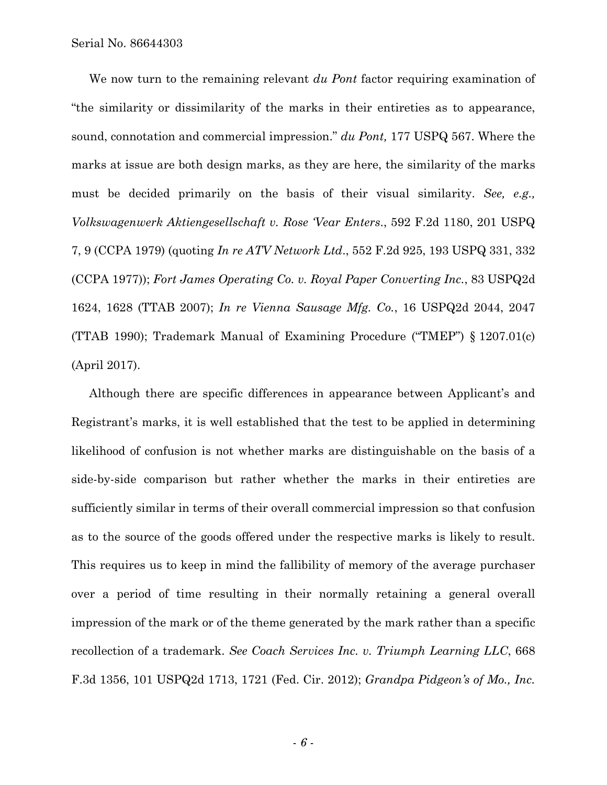We now turn to the remaining relevant *du Pont* factor requiring examination of "the similarity or dissimilarity of the marks in their entireties as to appearance, sound, connotation and commercial impression." *du Pont,* 177 USPQ 567. Where the marks at issue are both design marks, as they are here, the similarity of the marks must be decided primarily on the basis of their visual similarity. *See, e.g., Volkswagenwerk Aktiengesellschaft v. Rose 'Vear Enters*., 592 F.2d 1180, 201 USPQ 7, 9 (CCPA 1979) (quoting *In re ATV Network Ltd*., 552 F.2d 925, 193 USPQ 331, 332 (CCPA 1977)); *Fort James Operating Co. v. Royal Paper Converting Inc.*, 83 USPQ2d 1624, 1628 (TTAB 2007); *In re Vienna Sausage Mfg. Co.*, 16 USPQ2d 2044, 2047 (TTAB 1990); Trademark Manual of Examining Procedure ("TMEP") § 1207.01(c) (April 2017).

Although there are specific differences in appearance between Applicant's and Registrant's marks, it is well established that the test to be applied in determining likelihood of confusion is not whether marks are distinguishable on the basis of a side-by-side comparison but rather whether the marks in their entireties are sufficiently similar in terms of their overall commercial impression so that confusion as to the source of the goods offered under the respective marks is likely to result. This requires us to keep in mind the fallibility of memory of the average purchaser over a period of time resulting in their normally retaining a general overall impression of the mark or of the theme generated by the mark rather than a specific recollection of a trademark. *See Coach Services Inc. v. Triumph Learning LLC*, 668 F.3d 1356, 101 USPQ2d 1713, 1721 (Fed. Cir. 2012); *Grandpa Pidgeon's of Mo., Inc.*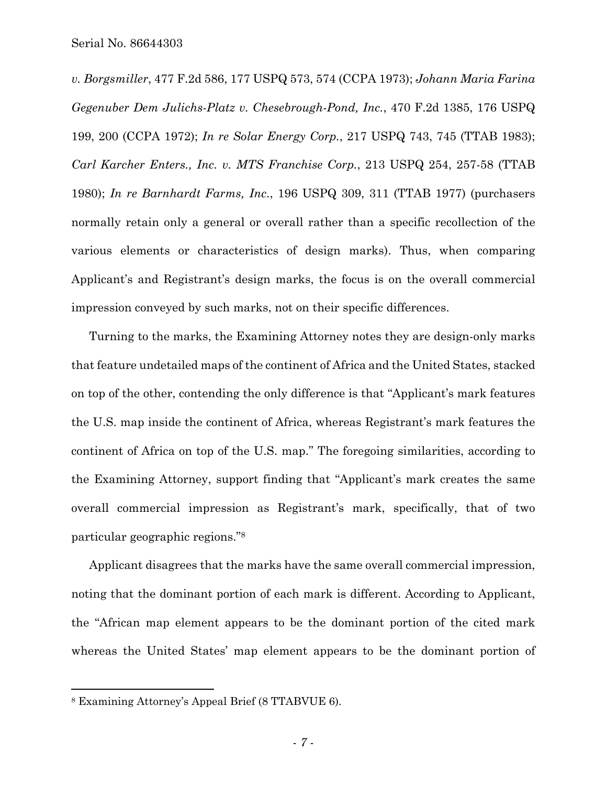*v. Borgsmiller*, 477 F.2d 586, 177 USPQ 573, 574 (CCPA 1973); *Johann Maria Farina Gegenuber Dem Julichs-Platz v. Chesebrough-Pond, Inc.*, 470 F.2d 1385, 176 USPQ 199, 200 (CCPA 1972); *In re Solar Energy Corp.*, 217 USPQ 743, 745 (TTAB 1983); *Carl Karcher Enters., Inc. v. MTS Franchise Corp.*, 213 USPQ 254, 257-58 (TTAB 1980); *In re Barnhardt Farms, Inc*., 196 USPQ 309, 311 (TTAB 1977) (purchasers normally retain only a general or overall rather than a specific recollection of the various elements or characteristics of design marks). Thus, when comparing Applicant's and Registrant's design marks, the focus is on the overall commercial impression conveyed by such marks, not on their specific differences.

Turning to the marks, the Examining Attorney notes they are design-only marks that feature undetailed maps of the continent of Africa and the United States, stacked on top of the other, contending the only difference is that "Applicant's mark features the U.S. map inside the continent of Africa, whereas Registrant's mark features the continent of Africa on top of the U.S. map." The foregoing similarities, according to the Examining Attorney, support finding that "Applicant's mark creates the same overall commercial impression as Registrant's mark, specifically, that of two particular geographic regions."8

Applicant disagrees that the marks have the same overall commercial impression, noting that the dominant portion of each mark is different. According to Applicant, the "African map element appears to be the dominant portion of the cited mark whereas the United States' map element appears to be the dominant portion of

<sup>8</sup> Examining Attorney's Appeal Brief (8 TTABVUE 6).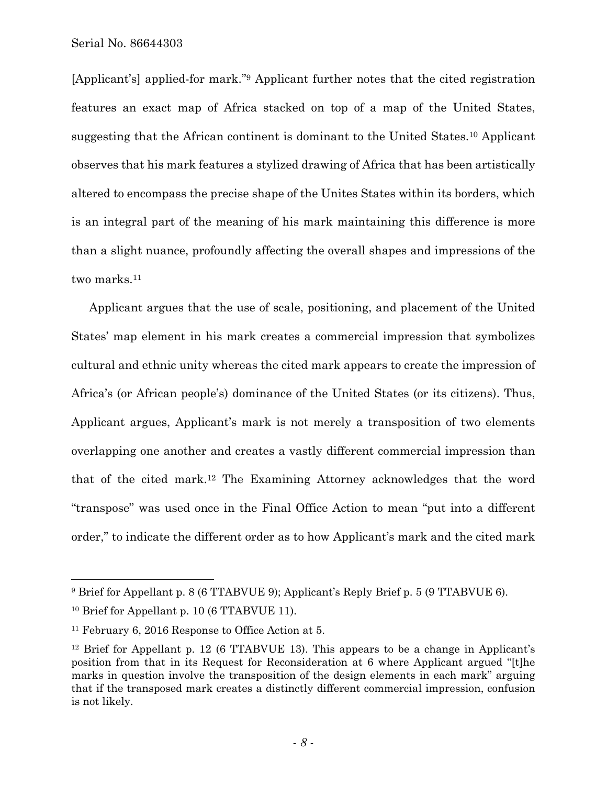[Applicant's] applied-for mark."9 Applicant further notes that the cited registration features an exact map of Africa stacked on top of a map of the United States, suggesting that the African continent is dominant to the United States.10 Applicant observes that his mark features a stylized drawing of Africa that has been artistically altered to encompass the precise shape of the Unites States within its borders, which is an integral part of the meaning of his mark maintaining this difference is more than a slight nuance, profoundly affecting the overall shapes and impressions of the two marks.<sup>11</sup>

Applicant argues that the use of scale, positioning, and placement of the United States' map element in his mark creates a commercial impression that symbolizes cultural and ethnic unity whereas the cited mark appears to create the impression of Africa's (or African people's) dominance of the United States (or its citizens). Thus, Applicant argues, Applicant's mark is not merely a transposition of two elements overlapping one another and creates a vastly different commercial impression than that of the cited mark.12 The Examining Attorney acknowledges that the word "transpose" was used once in the Final Office Action to mean "put into a different order," to indicate the different order as to how Applicant's mark and the cited mark

<sup>9</sup> Brief for Appellant p. 8 (6 TTABVUE 9); Applicant's Reply Brief p. 5 (9 TTABVUE 6).

<sup>10</sup> Brief for Appellant p. 10 (6 TTABVUE 11).

<sup>11</sup> February 6, 2016 Response to Office Action at 5.

<sup>&</sup>lt;sup>12</sup> Brief for Appellant p. 12 (6 TTABVUE 13). This appears to be a change in Applicant's position from that in its Request for Reconsideration at 6 where Applicant argued "[t]he marks in question involve the transposition of the design elements in each mark" arguing that if the transposed mark creates a distinctly different commercial impression, confusion is not likely.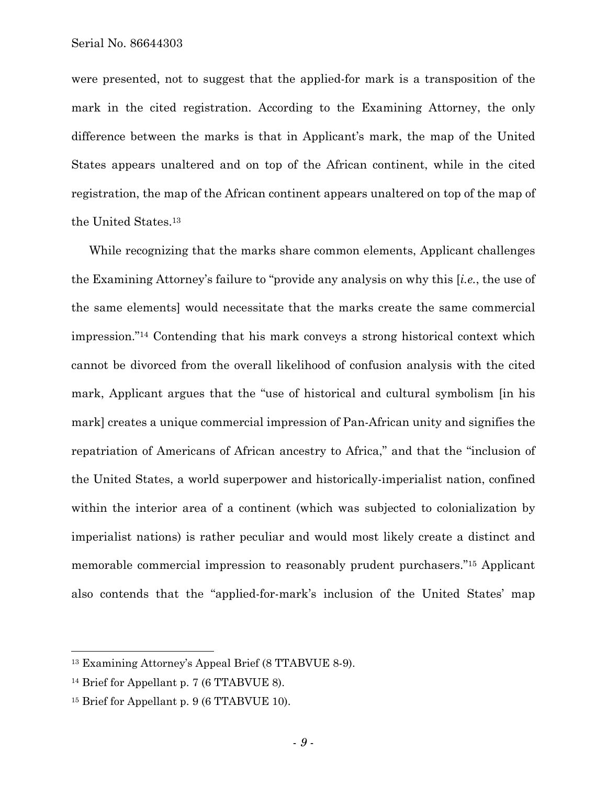were presented, not to suggest that the applied-for mark is a transposition of the mark in the cited registration. According to the Examining Attorney, the only difference between the marks is that in Applicant's mark, the map of the United States appears unaltered and on top of the African continent, while in the cited registration, the map of the African continent appears unaltered on top of the map of the United States.13

While recognizing that the marks share common elements, Applicant challenges the Examining Attorney's failure to "provide any analysis on why this [*i.e.*, the use of the same elements] would necessitate that the marks create the same commercial impression."14 Contending that his mark conveys a strong historical context which cannot be divorced from the overall likelihood of confusion analysis with the cited mark, Applicant argues that the "use of historical and cultural symbolism [in his mark] creates a unique commercial impression of Pan-African unity and signifies the repatriation of Americans of African ancestry to Africa," and that the "inclusion of the United States, a world superpower and historically-imperialist nation, confined within the interior area of a continent (which was subjected to colonialization by imperialist nations) is rather peculiar and would most likely create a distinct and memorable commercial impression to reasonably prudent purchasers."15 Applicant also contends that the "applied-for-mark's inclusion of the United States' map

<sup>13</sup> Examining Attorney's Appeal Brief (8 TTABVUE 8-9).

<sup>&</sup>lt;sup>14</sup> Brief for Appellant p. 7 (6 TTABVUE 8).

<sup>&</sup>lt;sup>15</sup> Brief for Appellant p. 9 (6 TTABVUE 10).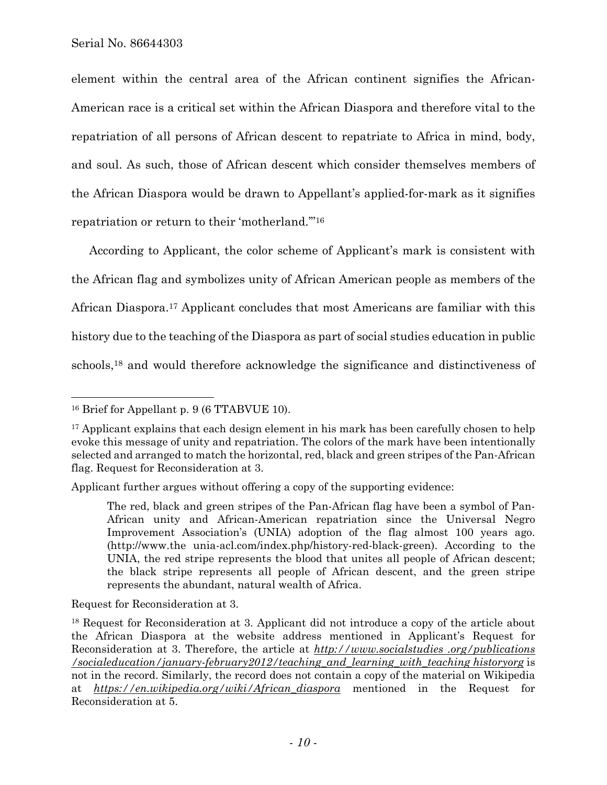element within the central area of the African continent signifies the African-American race is a critical set within the African Diaspora and therefore vital to the repatriation of all persons of African descent to repatriate to Africa in mind, body, and soul. As such, those of African descent which consider themselves members of the African Diaspora would be drawn to Appellant's applied-for-mark as it signifies repatriation or return to their 'motherland.'"16

According to Applicant, the color scheme of Applicant's mark is consistent with the African flag and symbolizes unity of African American people as members of the African Diaspora.17 Applicant concludes that most Americans are familiar with this history due to the teaching of the Diaspora as part of social studies education in public schools,18 and would therefore acknowledge the significance and distinctiveness of

 $\overline{a}$ 

Applicant further argues without offering a copy of the supporting evidence:

Request for Reconsideration at 3.

<sup>16</sup> Brief for Appellant p. 9 (6 TTABVUE 10).

<sup>&</sup>lt;sup>17</sup> Applicant explains that each design element in his mark has been carefully chosen to help evoke this message of unity and repatriation. The colors of the mark have been intentionally selected and arranged to match the horizontal, red, black and green stripes of the Pan-African flag. Request for Reconsideration at 3.

The red, black and green stripes of the Pan-African flag have been a symbol of Pan-African unity and African-American repatriation since the Universal Negro Improvement Association's (UNIA) adoption of the flag almost 100 years ago. (http://www.the unia-acl.com/index.php/history-red-black-green). According to the UNIA, the red stripe represents the blood that unites all people of African descent; the black stripe represents all people of African descent, and the green stripe represents the abundant, natural wealth of Africa.

<sup>18</sup> Request for Reconsideration at 3. Applicant did not introduce a copy of the article about the African Diaspora at the website address mentioned in Applicant's Request for Reconsideration at 3. Therefore, the article at *http://www.socialstudies .org/publications /socialeducation/january-february2012/teaching\_and\_learning\_with\_teaching historyorg* is not in the record. Similarly, the record does not contain a copy of the material on Wikipedia at *https://en.wikipedia.org/wiki/African\_diaspora* mentioned in the Request for Reconsideration at 5.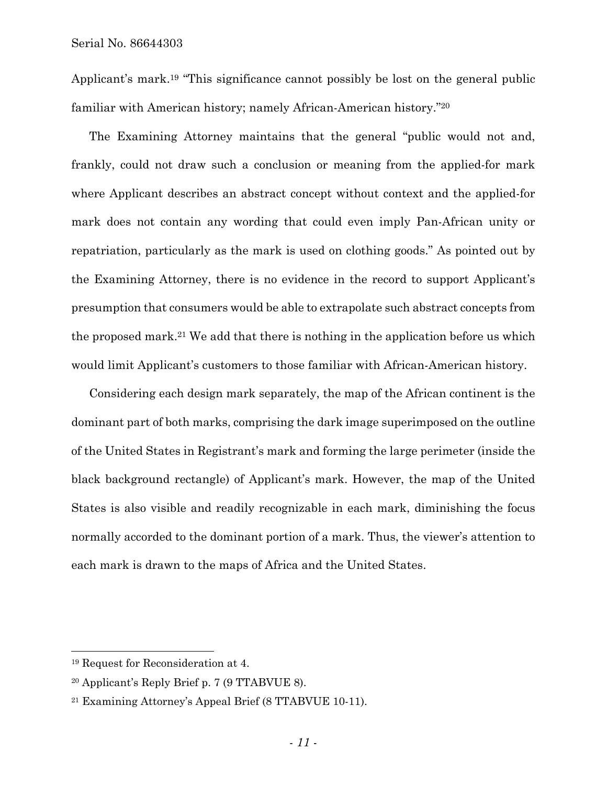Applicant's mark.19 "This significance cannot possibly be lost on the general public familiar with American history; namely African-American history."20

The Examining Attorney maintains that the general "public would not and, frankly, could not draw such a conclusion or meaning from the applied-for mark where Applicant describes an abstract concept without context and the applied-for mark does not contain any wording that could even imply Pan-African unity or repatriation, particularly as the mark is used on clothing goods." As pointed out by the Examining Attorney, there is no evidence in the record to support Applicant's presumption that consumers would be able to extrapolate such abstract concepts from the proposed mark.21 We add that there is nothing in the application before us which would limit Applicant's customers to those familiar with African-American history.

Considering each design mark separately, the map of the African continent is the dominant part of both marks, comprising the dark image superimposed on the outline of the United States in Registrant's mark and forming the large perimeter (inside the black background rectangle) of Applicant's mark. However, the map of the United States is also visible and readily recognizable in each mark, diminishing the focus normally accorded to the dominant portion of a mark. Thus, the viewer's attention to each mark is drawn to the maps of Africa and the United States.

<sup>19</sup> Request for Reconsideration at 4.

<sup>20</sup> Applicant's Reply Brief p. 7 (9 TTABVUE 8).

<sup>21</sup> Examining Attorney's Appeal Brief (8 TTABVUE 10-11).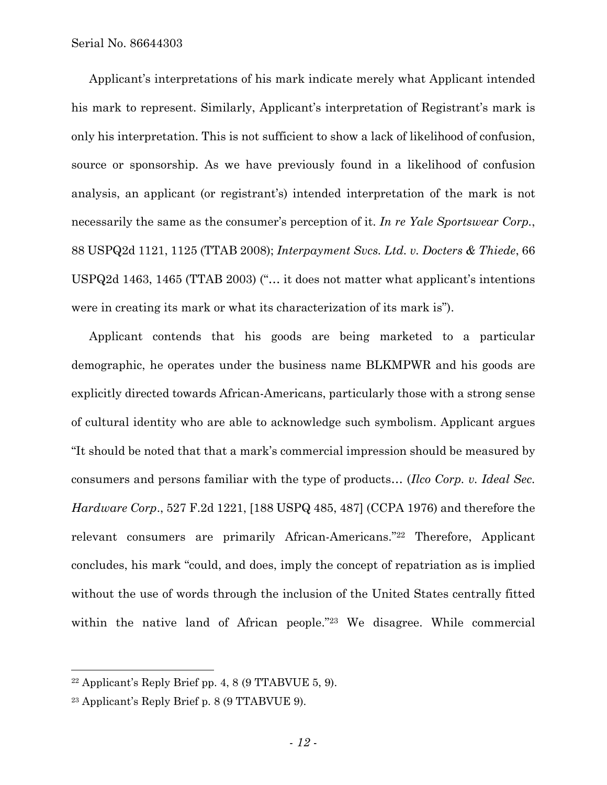Applicant's interpretations of his mark indicate merely what Applicant intended his mark to represent. Similarly, Applicant's interpretation of Registrant's mark is only his interpretation. This is not sufficient to show a lack of likelihood of confusion, source or sponsorship. As we have previously found in a likelihood of confusion analysis, an applicant (or registrant's) intended interpretation of the mark is not necessarily the same as the consumer's perception of it. *In re Yale Sportswear Corp.*, 88 USPQ2d 1121, 1125 (TTAB 2008); *Interpayment Svcs. Ltd. v. Docters & Thiede*, 66 USPQ2d 1463, 1465 (TTAB 2003) ("… it does not matter what applicant's intentions were in creating its mark or what its characterization of its mark is").

Applicant contends that his goods are being marketed to a particular demographic, he operates under the business name BLKMPWR and his goods are explicitly directed towards African-Americans, particularly those with a strong sense of cultural identity who are able to acknowledge such symbolism. Applicant argues "It should be noted that that a mark's commercial impression should be measured by consumers and persons familiar with the type of products… (*Ilco Corp. v. Ideal Sec. Hardware Corp*., 527 F.2d 1221, [188 USPQ 485, 487] (CCPA 1976) and therefore the relevant consumers are primarily African-Americans."22 Therefore, Applicant concludes, his mark "could, and does, imply the concept of repatriation as is implied without the use of words through the inclusion of the United States centrally fitted within the native land of African people."23 We disagree. While commercial

1

 $22$  Applicant's Reply Brief pp. 4, 8 (9 TTABVUE 5, 9).

<sup>23</sup> Applicant's Reply Brief p. 8 (9 TTABVUE 9).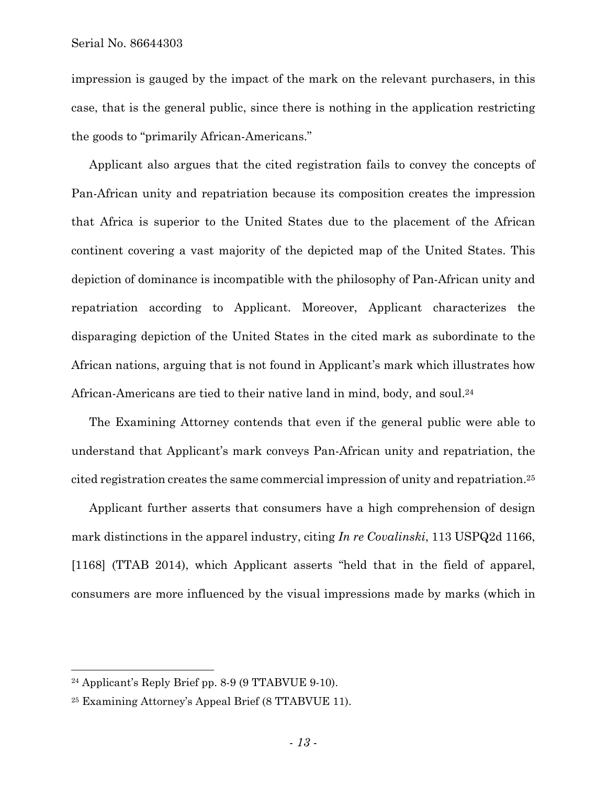impression is gauged by the impact of the mark on the relevant purchasers, in this case, that is the general public, since there is nothing in the application restricting the goods to "primarily African-Americans."

Applicant also argues that the cited registration fails to convey the concepts of Pan-African unity and repatriation because its composition creates the impression that Africa is superior to the United States due to the placement of the African continent covering a vast majority of the depicted map of the United States. This depiction of dominance is incompatible with the philosophy of Pan-African unity and repatriation according to Applicant. Moreover, Applicant characterizes the disparaging depiction of the United States in the cited mark as subordinate to the African nations, arguing that is not found in Applicant's mark which illustrates how African-Americans are tied to their native land in mind, body, and soul.24

The Examining Attorney contends that even if the general public were able to understand that Applicant's mark conveys Pan-African unity and repatriation, the cited registration creates the same commercial impression of unity and repatriation.25

Applicant further asserts that consumers have a high comprehension of design mark distinctions in the apparel industry, citing *In re Covalinski*, 113 USPQ2d 1166, [1168] (TTAB 2014), which Applicant asserts "held that in the field of apparel, consumers are more influenced by the visual impressions made by marks (which in

<sup>24</sup> Applicant's Reply Brief pp. 8-9 (9 TTABVUE 9-10).

<sup>25</sup> Examining Attorney's Appeal Brief (8 TTABVUE 11).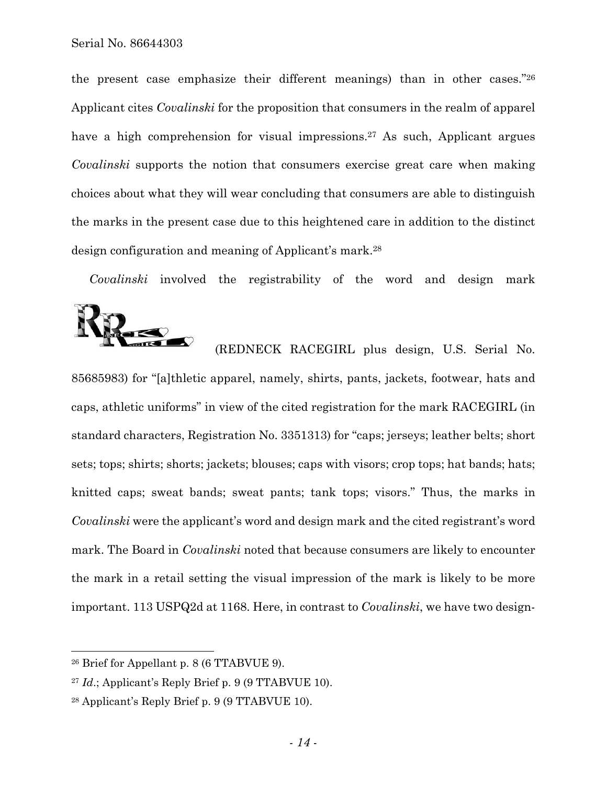the present case emphasize their different meanings) than in other cases."26 Applicant cites *Covalinski* for the proposition that consumers in the realm of apparel have a high comprehension for visual impressions.<sup>27</sup> As such, Applicant argues *Covalinski* supports the notion that consumers exercise great care when making choices about what they will wear concluding that consumers are able to distinguish the marks in the present case due to this heightened care in addition to the distinct design configuration and meaning of Applicant's mark.28

*Covalinski* involved the registrability of the word and design mark



 (REDNECK RACEGIRL plus design, U.S. Serial No. 85685983) for "[a]thletic apparel, namely, shirts, pants, jackets, footwear, hats and caps, athletic uniforms" in view of the cited registration for the mark RACEGIRL (in standard characters, Registration No. 3351313) for "caps; jerseys; leather belts; short sets; tops; shirts; shorts; jackets; blouses; caps with visors; crop tops; hat bands; hats; knitted caps; sweat bands; sweat pants; tank tops; visors." Thus, the marks in *Covalinski* were the applicant's word and design mark and the cited registrant's word mark. The Board in *Covalinski* noted that because consumers are likely to encounter the mark in a retail setting the visual impression of the mark is likely to be more important. 113 USPQ2d at 1168. Here, in contrast to *Covalinski*, we have two design-

<sup>26</sup> Brief for Appellant p. 8 (6 TTABVUE 9).

<sup>27</sup> *Id*.; Applicant's Reply Brief p. 9 (9 TTABVUE 10).

<sup>28</sup> Applicant's Reply Brief p. 9 (9 TTABVUE 10).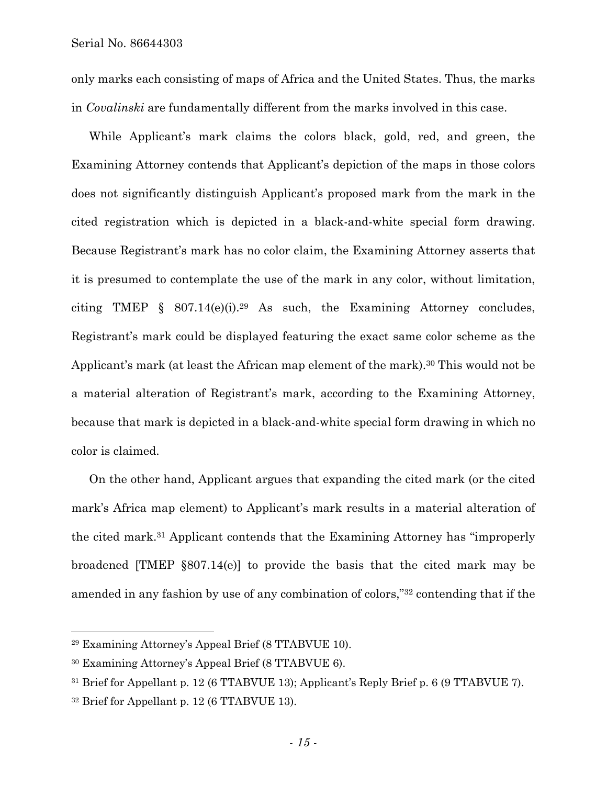only marks each consisting of maps of Africa and the United States. Thus, the marks in *Covalinski* are fundamentally different from the marks involved in this case.

While Applicant's mark claims the colors black, gold, red, and green, the Examining Attorney contends that Applicant's depiction of the maps in those colors does not significantly distinguish Applicant's proposed mark from the mark in the cited registration which is depicted in a black-and-white special form drawing. Because Registrant's mark has no color claim, the Examining Attorney asserts that it is presumed to contemplate the use of the mark in any color, without limitation, citing TMEP § 807.14(e)(i).29 As such, the Examining Attorney concludes, Registrant's mark could be displayed featuring the exact same color scheme as the Applicant's mark (at least the African map element of the mark).<sup>30</sup> This would not be a material alteration of Registrant's mark, according to the Examining Attorney, because that mark is depicted in a black-and-white special form drawing in which no color is claimed.

On the other hand, Applicant argues that expanding the cited mark (or the cited mark's Africa map element) to Applicant's mark results in a material alteration of the cited mark.31 Applicant contends that the Examining Attorney has "improperly broadened [TMEP §807.14(e)] to provide the basis that the cited mark may be amended in any fashion by use of any combination of colors,"32 contending that if the

<sup>29</sup> Examining Attorney's Appeal Brief (8 TTABVUE 10).

<sup>30</sup> Examining Attorney's Appeal Brief (8 TTABVUE 6).

<sup>31</sup> Brief for Appellant p. 12 (6 TTABVUE 13); Applicant's Reply Brief p. 6 (9 TTABVUE 7).

<sup>32</sup> Brief for Appellant p. 12 (6 TTABVUE 13).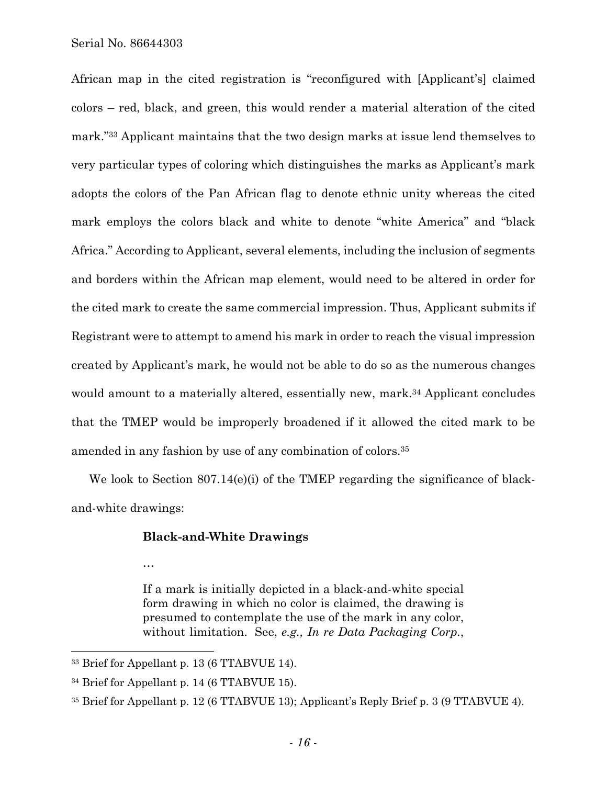African map in the cited registration is "reconfigured with [Applicant's] claimed colors – red, black, and green, this would render a material alteration of the cited mark."33 Applicant maintains that the two design marks at issue lend themselves to very particular types of coloring which distinguishes the marks as Applicant's mark adopts the colors of the Pan African flag to denote ethnic unity whereas the cited mark employs the colors black and white to denote "white America" and "black Africa." According to Applicant, several elements, including the inclusion of segments and borders within the African map element, would need to be altered in order for the cited mark to create the same commercial impression. Thus, Applicant submits if Registrant were to attempt to amend his mark in order to reach the visual impression created by Applicant's mark, he would not be able to do so as the numerous changes would amount to a materially altered, essentially new, mark.<sup>34</sup> Applicant concludes that the TMEP would be improperly broadened if it allowed the cited mark to be amended in any fashion by use of any combination of colors.35

We look to Section 807.14(e)(i) of the TMEP regarding the significance of blackand-white drawings:

## **Black-and-White Drawings**

…

 $\overline{a}$ 

If a mark is initially depicted in a black-and-white special form drawing in which no color is claimed, the drawing is presumed to contemplate the use of the mark in any color, without limitation. See, *e.g., In re Data Packaging Corp.*,

<sup>33</sup> Brief for Appellant p. 13 (6 TTABVUE 14).

<sup>34</sup> Brief for Appellant p. 14 (6 TTABVUE 15).

<sup>35</sup> Brief for Appellant p. 12 (6 TTABVUE 13); Applicant's Reply Brief p. 3 (9 TTABVUE 4).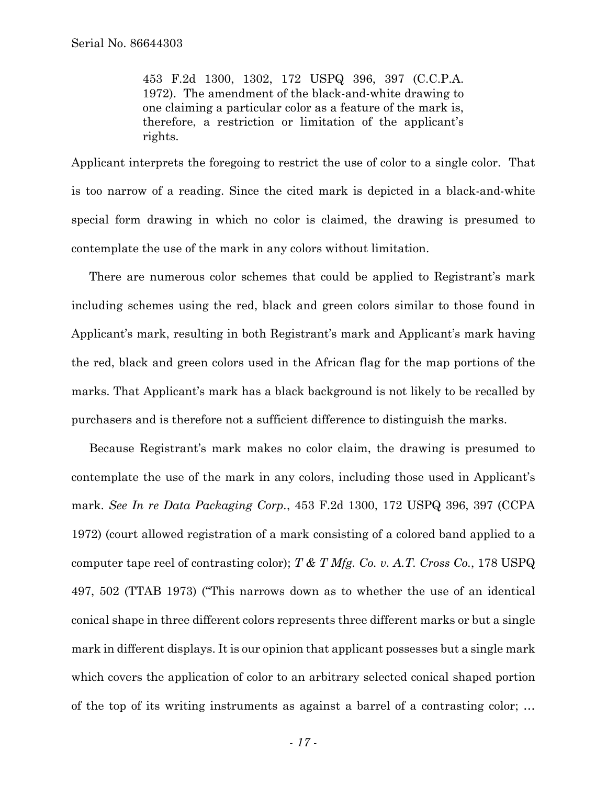453 F.2d 1300, 1302, 172 USPQ 396, 397 (C.C.P.A. 1972). The amendment of the black-and-white drawing to one claiming a particular color as a feature of the mark is, therefore, a restriction or limitation of the applicant's rights.

Applicant interprets the foregoing to restrict the use of color to a single color. That is too narrow of a reading. Since the cited mark is depicted in a black-and-white special form drawing in which no color is claimed, the drawing is presumed to contemplate the use of the mark in any colors without limitation.

There are numerous color schemes that could be applied to Registrant's mark including schemes using the red, black and green colors similar to those found in Applicant's mark, resulting in both Registrant's mark and Applicant's mark having the red, black and green colors used in the African flag for the map portions of the marks. That Applicant's mark has a black background is not likely to be recalled by purchasers and is therefore not a sufficient difference to distinguish the marks.

Because Registrant's mark makes no color claim, the drawing is presumed to contemplate the use of the mark in any colors, including those used in Applicant's mark. *See In re Data Packaging Corp.*, 453 F.2d 1300, 172 USPQ 396, 397 (CCPA 1972) (court allowed registration of a mark consisting of a colored band applied to a computer tape reel of contrasting color); *T & T Mfg. Co. v. A.T. Cross Co.*, 178 USPQ 497, 502 (TTAB 1973) ("This narrows down as to whether the use of an identical conical shape in three different colors represents three different marks or but a single mark in different displays. It is our opinion that applicant possesses but a single mark which covers the application of color to an arbitrary selected conical shaped portion of the top of its writing instruments as against a barrel of a contrasting color; …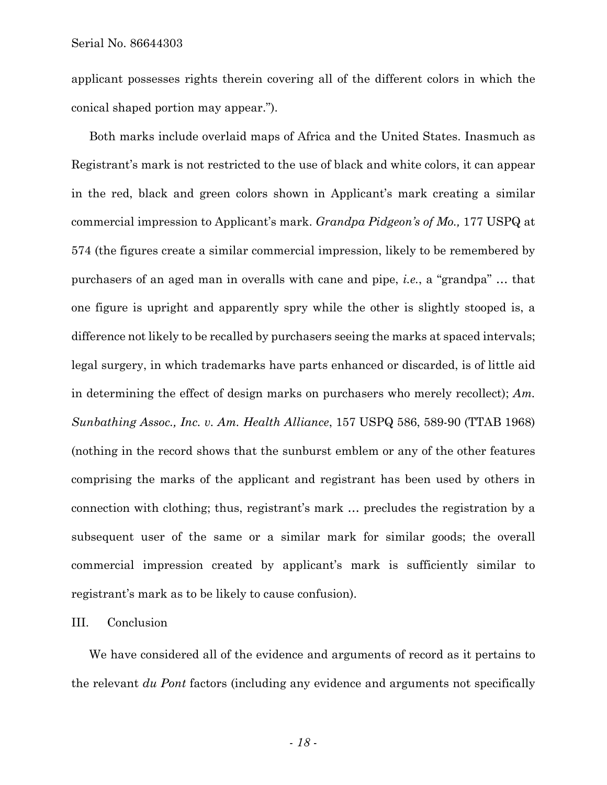applicant possesses rights therein covering all of the different colors in which the conical shaped portion may appear.").

Both marks include overlaid maps of Africa and the United States. Inasmuch as Registrant's mark is not restricted to the use of black and white colors, it can appear in the red, black and green colors shown in Applicant's mark creating a similar commercial impression to Applicant's mark. *Grandpa Pidgeon's of Mo.,* 177 USPQ at 574 (the figures create a similar commercial impression, likely to be remembered by purchasers of an aged man in overalls with cane and pipe, *i.e.*, a "grandpa" … that one figure is upright and apparently spry while the other is slightly stooped is, a difference not likely to be recalled by purchasers seeing the marks at spaced intervals; legal surgery, in which trademarks have parts enhanced or discarded, is of little aid in determining the effect of design marks on purchasers who merely recollect); *Am. Sunbathing Assoc., Inc. v. Am. Health Alliance*, 157 USPQ 586, 589-90 (TTAB 1968) (nothing in the record shows that the sunburst emblem or any of the other features comprising the marks of the applicant and registrant has been used by others in connection with clothing; thus, registrant's mark … precludes the registration by a subsequent user of the same or a similar mark for similar goods; the overall commercial impression created by applicant's mark is sufficiently similar to registrant's mark as to be likely to cause confusion).

III. Conclusion

We have considered all of the evidence and arguments of record as it pertains to the relevant *du Pont* factors (including any evidence and arguments not specifically